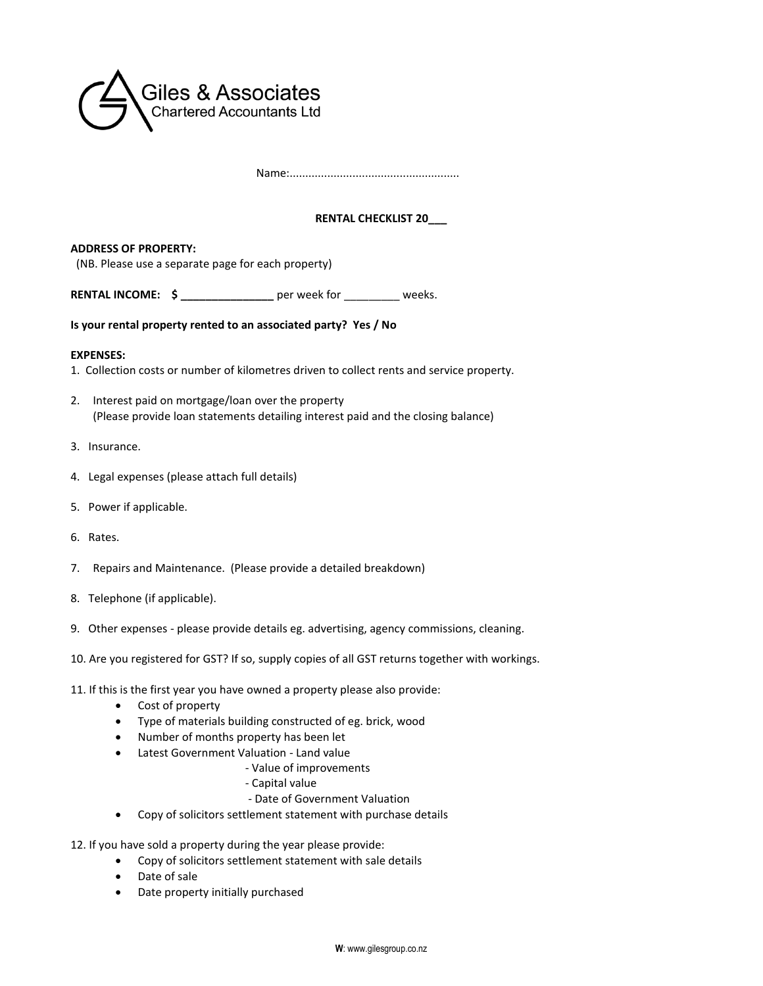

Name:......................................................

## **RENTAL CHECKLIST 20\_\_\_**

**ADDRESS OF PROPERTY:** (NB. Please use a separate page for each property)

**RENTAL INCOME:**  $\oint$  \_\_\_\_\_\_\_\_\_\_\_\_\_\_\_\_\_\_\_\_ per week for weeks.

**Is your rental property rented to an associated party? Yes / No**

## **EXPENSES:**

- 1. Collection costs or number of kilometres driven to collect rents and service property.
- 2. Interest paid on mortgage/loan over the property (Please provide loan statements detailing interest paid and the closing balance)
- 3. Insurance.
- 4. Legal expenses (please attach full details)
- 5. Power if applicable.
- 6. Rates.
- 7. Repairs and Maintenance. (Please provide a detailed breakdown)
- 8. Telephone (if applicable).
- 9. Other expenses please provide details eg. advertising, agency commissions, cleaning.
- 10. Are you registered for GST? If so, supply copies of all GST returns together with workings.
- 11. If this is the first year you have owned a property please also provide:
	- Cost of property
	- Type of materials building constructed of eg. brick, wood
	- Number of months property has been let
	- Latest Government Valuation Land value
		- Value of improvements
		- Capital value
		- Date of Government Valuation
	- Copy of solicitors settlement statement with purchase details
- 12. If you have sold a property during the year please provide:
	- Copy of solicitors settlement statement with sale details
	- Date of sale
	- Date property initially purchased